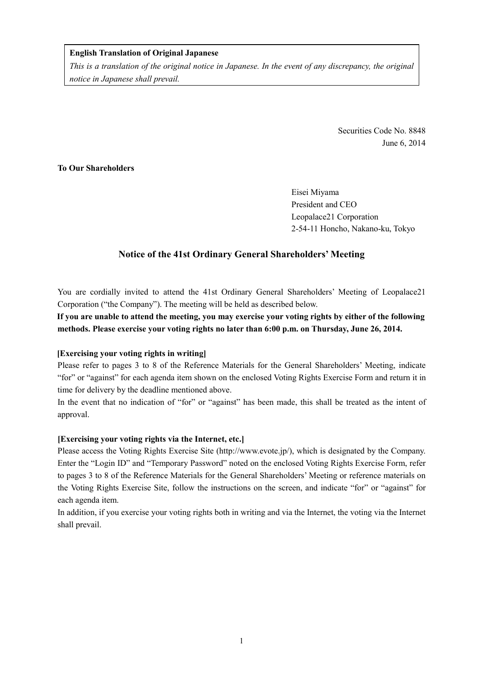### **English Translation of Original Japanese**

*This is a translation of the original notice in Japanese. In the event of any discrepancy, the original notice in Japanese shall prevail.* 

> Securities Code No. 8848 June 6, 2014

## **To Our Shareholders**

Eisei Miyama President and CEO Leopalace21 Corporation 2-54-11 Honcho, Nakano-ku, Tokyo

## **Notice of the 41st Ordinary General Shareholders' Meeting**

You are cordially invited to attend the 41st Ordinary General Shareholders' Meeting of Leopalace21 Corporation ("the Company"). The meeting will be held as described below.

**If you are unable to attend the meeting, you may exercise your voting rights by either of the following methods. Please exercise your voting rights no later than 6:00 p.m. on Thursday, June 26, 2014.** 

#### **[Exercising your voting rights in writing]**

Please refer to pages 3 to 8 of the Reference Materials for the General Shareholders' Meeting, indicate "for" or "against" for each agenda item shown on the enclosed Voting Rights Exercise Form and return it in time for delivery by the deadline mentioned above.

In the event that no indication of "for" or "against" has been made, this shall be treated as the intent of approval.

#### **[Exercising your voting rights via the Internet, etc.]**

Please access the Voting Rights Exercise Site (http://www.evote.jp/), which is designated by the Company. Enter the "Login ID" and "Temporary Password" noted on the enclosed Voting Rights Exercise Form, refer to pages 3 to 8 of the Reference Materials for the General Shareholders' Meeting or reference materials on the Voting Rights Exercise Site, follow the instructions on the screen, and indicate "for" or "against" for each agenda item.

In addition, if you exercise your voting rights both in writing and via the Internet, the voting via the Internet shall prevail.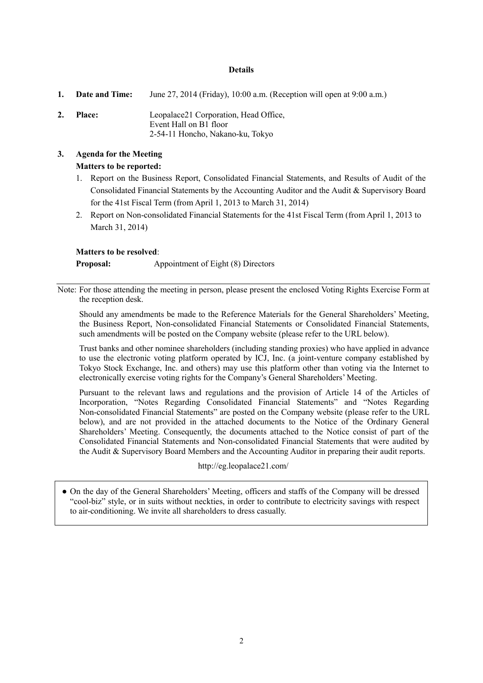#### **Details**

**1. Date and Time:** June 27, 2014 (Friday), 10:00 a.m. (Reception will open at 9:00 a.m.) **2. Place:** Leopalace21 Corporation, Head Office, Event Hall on B1 floor 2-54-11 Honcho, Nakano-ku, Tokyo

## **3. Agenda for the Meeting Matters to be reported:**

- 1. Report on the Business Report, Consolidated Financial Statements, and Results of Audit of the Consolidated Financial Statements by the Accounting Auditor and the Audit & Supervisory Board for the 41st Fiscal Term (from April 1, 2013 to March 31, 2014)
- 2. Report on Non-consolidated Financial Statements for the 41st Fiscal Term (from April 1, 2013 to March 31, 2014)

#### **Matters to be resolved**:

**Proposal:** Appointment of Eight (8) Directors

Note: For those attending the meeting in person, please present the enclosed Voting Rights Exercise Form at the reception desk.

Should any amendments be made to the Reference Materials for the General Shareholders' Meeting, the Business Report, Non-consolidated Financial Statements or Consolidated Financial Statements, such amendments will be posted on the Company website (please refer to the URL below).

Trust banks and other nominee shareholders (including standing proxies) who have applied in advance to use the electronic voting platform operated by ICJ, Inc. (a joint-venture company established by Tokyo Stock Exchange, Inc. and others) may use this platform other than voting via the Internet to electronically exercise voting rights for the Company's General Shareholders' Meeting.

Pursuant to the relevant laws and regulations and the provision of Article 14 of the Articles of Incorporation, "Notes Regarding Consolidated Financial Statements" and "Notes Regarding Non-consolidated Financial Statements" are posted on the Company website (please refer to the URL below), and are not provided in the attached documents to the Notice of the Ordinary General Shareholders' Meeting. Consequently, the documents attached to the Notice consist of part of the Consolidated Financial Statements and Non-consolidated Financial Statements that were audited by the Audit & Supervisory Board Members and the Accounting Auditor in preparing their audit reports.

http://eg.leopalace21.com/

• On the day of the General Shareholders' Meeting, officers and staffs of the Company will be dressed "cool-biz" style, or in suits without neckties, in order to contribute to electricity savings with respect to air-conditioning. We invite all shareholders to dress casually.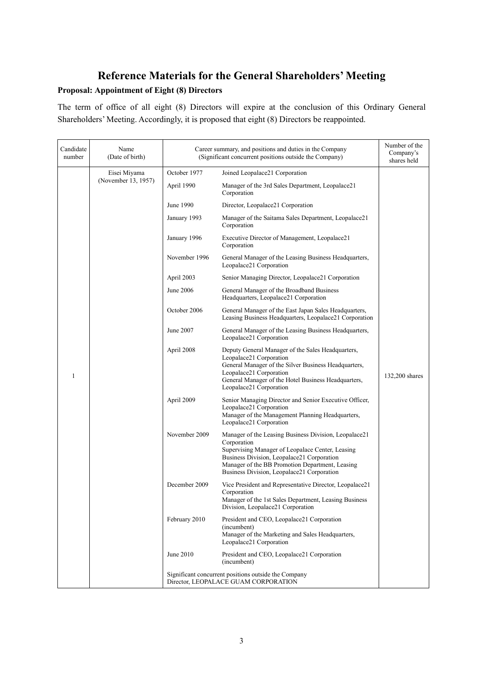# **Reference Materials for the General Shareholders' Meeting Proposal: Appointment of Eight (8) Directors**

The term of office of all eight (8) Directors will expire at the conclusion of this Ordinary General Shareholders' Meeting. Accordingly, it is proposed that eight (8) Directors be reappointed.

| Candidate<br>number | Name<br>(Date of birth)             | Career summary, and positions and duties in the Company<br>(Significant concurrent positions outside the Company) |                                                                                                                                                                                                                                                                         | Number of the<br>Company's<br>shares held |
|---------------------|-------------------------------------|-------------------------------------------------------------------------------------------------------------------|-------------------------------------------------------------------------------------------------------------------------------------------------------------------------------------------------------------------------------------------------------------------------|-------------------------------------------|
|                     | Eisei Miyama<br>(November 13, 1957) | October 1977                                                                                                      | Joined Leopalace21 Corporation                                                                                                                                                                                                                                          |                                           |
|                     |                                     | April 1990                                                                                                        | Manager of the 3rd Sales Department, Leopalace21<br>Corporation                                                                                                                                                                                                         |                                           |
|                     |                                     | June 1990                                                                                                         | Director, Leopalace21 Corporation                                                                                                                                                                                                                                       |                                           |
|                     |                                     | January 1993                                                                                                      | Manager of the Saitama Sales Department, Leopalace21<br>Corporation                                                                                                                                                                                                     |                                           |
|                     |                                     | January 1996                                                                                                      | Executive Director of Management, Leopalace21<br>Corporation                                                                                                                                                                                                            |                                           |
|                     |                                     | November 1996                                                                                                     | General Manager of the Leasing Business Headquarters,<br>Leopalace21 Corporation                                                                                                                                                                                        |                                           |
|                     |                                     | April 2003                                                                                                        | Senior Managing Director, Leopalace21 Corporation                                                                                                                                                                                                                       |                                           |
|                     |                                     | June 2006                                                                                                         | General Manager of the Broadband Business<br>Headquarters, Leopalace21 Corporation                                                                                                                                                                                      |                                           |
|                     |                                     | October 2006                                                                                                      | General Manager of the East Japan Sales Headquarters,<br>Leasing Business Headquarters, Leopalace21 Corporation                                                                                                                                                         |                                           |
|                     |                                     | June 2007                                                                                                         | General Manager of the Leasing Business Headquarters,<br>Leopalace21 Corporation                                                                                                                                                                                        |                                           |
| 1                   |                                     | April 2008                                                                                                        | Deputy General Manager of the Sales Headquarters,<br>Leopalace21 Corporation<br>General Manager of the Silver Business Headquarters,<br>Leopalace21 Corporation<br>General Manager of the Hotel Business Headquarters,<br>Leopalace21 Corporation                       | 132,200 shares                            |
|                     |                                     | April 2009                                                                                                        | Senior Managing Director and Senior Executive Officer,<br>Leopalace21 Corporation<br>Manager of the Management Planning Headquarters,<br>Leopalace21 Corporation                                                                                                        |                                           |
|                     |                                     | November 2009                                                                                                     | Manager of the Leasing Business Division, Leopalace21<br>Corporation<br>Supervising Manager of Leopalace Center, Leasing<br>Business Division, Leopalace21 Corporation<br>Manager of the BB Promotion Department, Leasing<br>Business Division, Leopalace21 Corporation |                                           |
|                     |                                     | December 2009                                                                                                     | Vice President and Representative Director, Leopalace21<br>Corporation<br>Manager of the 1st Sales Department, Leasing Business<br>Division, Leopalace21 Corporation                                                                                                    |                                           |
|                     |                                     | February 2010                                                                                                     | President and CEO, Leopalace21 Corporation<br>(incumbent)<br>Manager of the Marketing and Sales Headquarters,<br>Leopalace21 Corporation                                                                                                                                |                                           |
|                     |                                     | June 2010                                                                                                         | President and CEO, Leopalace21 Corporation<br>(incumbent)                                                                                                                                                                                                               |                                           |
|                     |                                     | Significant concurrent positions outside the Company<br>Director, LEOPALACE GUAM CORPORATION                      |                                                                                                                                                                                                                                                                         |                                           |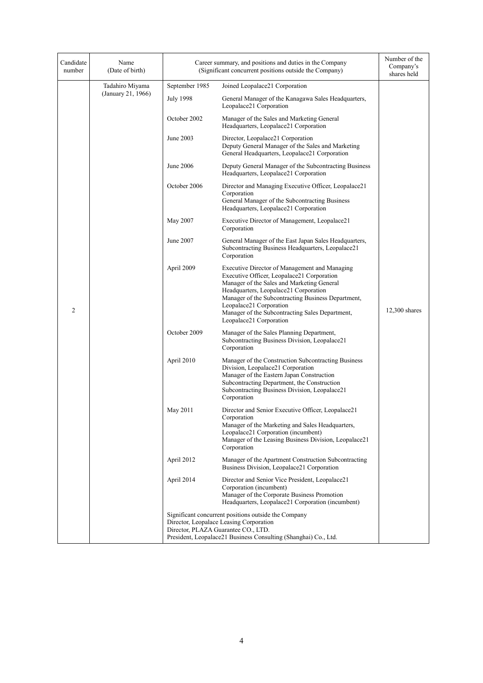| Candidate<br>number | Name<br>(Date of birth) | Career summary, and positions and duties in the Company<br>(Significant concurrent positions outside the Company) | Number of the<br>Company's<br>shares held                                                                                                                                                                                                                                                                                                         |                 |
|---------------------|-------------------------|-------------------------------------------------------------------------------------------------------------------|---------------------------------------------------------------------------------------------------------------------------------------------------------------------------------------------------------------------------------------------------------------------------------------------------------------------------------------------------|-----------------|
|                     | Tadahiro Miyama         | September 1985                                                                                                    | Joined Leopalace21 Corporation                                                                                                                                                                                                                                                                                                                    |                 |
|                     | (January 21, 1966)      | <b>July 1998</b>                                                                                                  | General Manager of the Kanagawa Sales Headquarters,<br>Leopalace21 Corporation                                                                                                                                                                                                                                                                    |                 |
|                     |                         | October 2002                                                                                                      | Manager of the Sales and Marketing General<br>Headquarters, Leopalace21 Corporation                                                                                                                                                                                                                                                               |                 |
|                     |                         | June 2003                                                                                                         | Director, Leopalace21 Corporation<br>Deputy General Manager of the Sales and Marketing<br>General Headquarters, Leopalace21 Corporation                                                                                                                                                                                                           |                 |
|                     |                         | June 2006                                                                                                         | Deputy General Manager of the Subcontracting Business<br>Headquarters, Leopalace21 Corporation                                                                                                                                                                                                                                                    |                 |
|                     |                         | October 2006                                                                                                      | Director and Managing Executive Officer, Leopalace21<br>Corporation<br>General Manager of the Subcontracting Business<br>Headquarters, Leopalace21 Corporation                                                                                                                                                                                    |                 |
|                     |                         | May 2007                                                                                                          | Executive Director of Management, Leopalace21<br>Corporation                                                                                                                                                                                                                                                                                      |                 |
|                     |                         | June 2007                                                                                                         | General Manager of the East Japan Sales Headquarters,<br>Subcontracting Business Headquarters, Leopalace21<br>Corporation                                                                                                                                                                                                                         |                 |
| $\overline{2}$      |                         | April 2009                                                                                                        | Executive Director of Management and Managing<br>Executive Officer, Leopalace21 Corporation<br>Manager of the Sales and Marketing General<br>Headquarters, Leopalace21 Corporation<br>Manager of the Subcontracting Business Department,<br>Leopalace21 Corporation<br>Manager of the Subcontracting Sales Department,<br>Leopalace21 Corporation | $12,300$ shares |
|                     |                         | October 2009                                                                                                      | Manager of the Sales Planning Department,<br>Subcontracting Business Division, Leopalace21<br>Corporation                                                                                                                                                                                                                                         |                 |
|                     |                         | April 2010                                                                                                        | Manager of the Construction Subcontracting Business<br>Division, Leopalace21 Corporation<br>Manager of the Eastern Japan Construction<br>Subcontracting Department, the Construction<br>Subcontracting Business Division, Leopalace21<br>Corporation                                                                                              |                 |
|                     |                         | May 2011                                                                                                          | Director and Senior Executive Officer, Leopalace21<br>Corporation<br>Manager of the Marketing and Sales Headquarters,<br>Leopalace21 Corporation (incumbent)<br>Manager of the Leasing Business Division, Leopalace21<br>Corporation                                                                                                              |                 |
|                     |                         | April 2012                                                                                                        | Manager of the Apartment Construction Subcontracting<br>Business Division, Leopalace21 Corporation                                                                                                                                                                                                                                                |                 |
|                     |                         | April 2014                                                                                                        | Director and Senior Vice President, Leopalace21<br>Corporation (incumbent)<br>Manager of the Corporate Business Promotion<br>Headquarters, Leopalace21 Corporation (incumbent)                                                                                                                                                                    |                 |
|                     |                         | Director, PLAZA Guarantee CO., LTD.                                                                               | Significant concurrent positions outside the Company<br>Director, Leopalace Leasing Corporation<br>President, Leopalace21 Business Consulting (Shanghai) Co., Ltd.                                                                                                                                                                                |                 |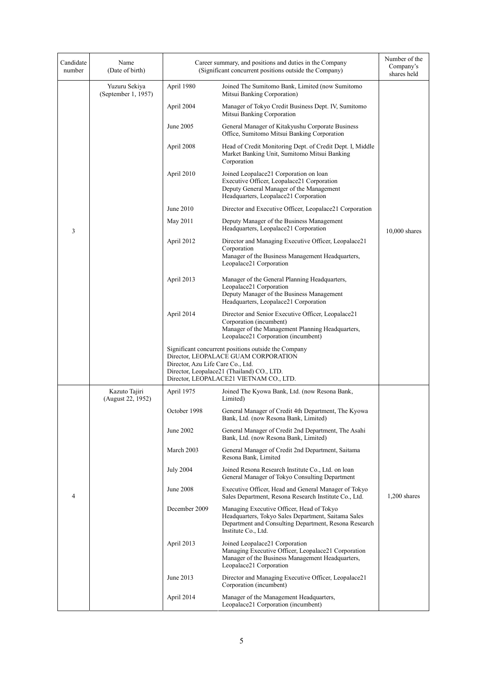| Candidate<br>number | Name<br>(Date of birth)              | Career summary, and positions and duties in the Company<br>(Significant concurrent positions outside the Company) | Number of the<br>Company's<br>shares held                                                                                                                                                                                  |                |
|---------------------|--------------------------------------|-------------------------------------------------------------------------------------------------------------------|----------------------------------------------------------------------------------------------------------------------------------------------------------------------------------------------------------------------------|----------------|
|                     | Yuzuru Sekiya<br>(September 1, 1957) | April 1980                                                                                                        | Joined The Sumitomo Bank, Limited (now Sumitomo<br>Mitsui Banking Corporation)                                                                                                                                             |                |
|                     |                                      | April 2004                                                                                                        | Manager of Tokyo Credit Business Dept. IV, Sumitomo<br>Mitsui Banking Corporation                                                                                                                                          |                |
|                     |                                      | June 2005                                                                                                         | General Manager of Kitakyushu Corporate Business<br>Office, Sumitomo Mitsui Banking Corporation                                                                                                                            |                |
|                     |                                      | April 2008                                                                                                        | Head of Credit Monitoring Dept. of Credit Dept. I, Middle<br>Market Banking Unit, Sumitomo Mitsui Banking<br>Corporation                                                                                                   |                |
|                     |                                      | April 2010                                                                                                        | Joined Leopalace21 Corporation on loan<br>Executive Officer, Leopalace21 Corporation<br>Deputy General Manager of the Management<br>Headquarters, Leopalace21 Corporation                                                  |                |
|                     |                                      | June 2010                                                                                                         | Director and Executive Officer, Leopalace21 Corporation                                                                                                                                                                    |                |
| 3                   |                                      | May 2011                                                                                                          | Deputy Manager of the Business Management<br>Headquarters, Leopalace21 Corporation                                                                                                                                         | 10,000 shares  |
|                     |                                      | April 2012                                                                                                        | Director and Managing Executive Officer, Leopalace21<br>Corporation<br>Manager of the Business Management Headquarters,<br>Leopalace21 Corporation                                                                         |                |
|                     |                                      | April 2013                                                                                                        | Manager of the General Planning Headquarters,<br>Leopalace21 Corporation<br>Deputy Manager of the Business Management<br>Headquarters, Leopalace21 Corporation                                                             |                |
|                     |                                      | April 2014                                                                                                        | Director and Senior Executive Officer, Leopalace21<br>Corporation (incumbent)<br>Manager of the Management Planning Headquarters,<br>Leopalace21 Corporation (incumbent)                                                   |                |
|                     |                                      |                                                                                                                   | Significant concurrent positions outside the Company<br>Director, LEOPALACE GUAM CORPORATION<br>Director, Azu Life Care Co., Ltd.<br>Director, Leopalace21 (Thailand) CO., LTD.<br>Director, LEOPALACE21 VIETNAM CO., LTD. |                |
|                     | Kazuto Tajiri<br>(August 22, 1952)   | April 1975                                                                                                        | Joined The Kyowa Bank, Ltd. (now Resona Bank,<br>Limited)                                                                                                                                                                  |                |
|                     |                                      | October 1998                                                                                                      | General Manager of Credit 4th Department, The Kyowa<br>Bank, Ltd. (now Resona Bank, Limited)                                                                                                                               |                |
|                     |                                      | June 2002                                                                                                         | General Manager of Credit 2nd Department, The Asahi<br>Bank, Ltd. (now Resona Bank, Limited)                                                                                                                               |                |
|                     |                                      | March 2003                                                                                                        | General Manager of Credit 2nd Department, Saitama<br>Resona Bank, Limited                                                                                                                                                  |                |
|                     |                                      | <b>July 2004</b>                                                                                                  | Joined Resona Research Institute Co., Ltd. on loan<br>General Manager of Tokyo Consulting Department                                                                                                                       |                |
| 4                   |                                      | <b>June 2008</b>                                                                                                  | Executive Officer, Head and General Manager of Tokyo<br>Sales Department, Resona Research Institute Co., Ltd.                                                                                                              | $1,200$ shares |
|                     |                                      | December 2009                                                                                                     | Managing Executive Officer, Head of Tokyo<br>Headquarters, Tokyo Sales Department, Saitama Sales<br>Department and Consulting Department, Resona Research<br>Institute Co., Ltd.                                           |                |
|                     |                                      | April 2013                                                                                                        | Joined Leopalace21 Corporation<br>Managing Executive Officer, Leopalace21 Corporation<br>Manager of the Business Management Headquarters,<br>Leopalace21 Corporation                                                       |                |
|                     |                                      | June 2013                                                                                                         | Director and Managing Executive Officer, Leopalace21<br>Corporation (incumbent)                                                                                                                                            |                |
|                     |                                      | April 2014                                                                                                        | Manager of the Management Headquarters,<br>Leopalace21 Corporation (incumbent)                                                                                                                                             |                |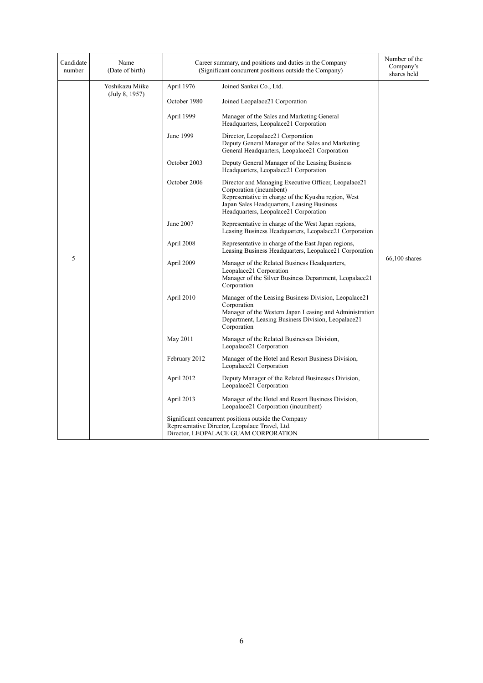| Candidate<br>number | Name<br>(Date of birth)           | Career summary, and positions and duties in the Company<br>(Significant concurrent positions outside the Company) | Number of the<br>Company's<br>shares held                                                                                                                                                                                     |                 |
|---------------------|-----------------------------------|-------------------------------------------------------------------------------------------------------------------|-------------------------------------------------------------------------------------------------------------------------------------------------------------------------------------------------------------------------------|-----------------|
|                     | Yoshikazu Miike<br>(July 8, 1957) | April 1976                                                                                                        | Joined Sankei Co., Ltd.                                                                                                                                                                                                       |                 |
|                     |                                   | October 1980                                                                                                      | Joined Leopalace21 Corporation                                                                                                                                                                                                |                 |
|                     |                                   | April 1999                                                                                                        | Manager of the Sales and Marketing General<br>Headquarters, Leopalace21 Corporation                                                                                                                                           | $66,100$ shares |
|                     |                                   | June 1999                                                                                                         | Director, Leopalace21 Corporation<br>Deputy General Manager of the Sales and Marketing<br>General Headquarters, Leopalace21 Corporation                                                                                       |                 |
|                     |                                   | October 2003                                                                                                      | Deputy General Manager of the Leasing Business<br>Headquarters, Leopalace21 Corporation                                                                                                                                       |                 |
|                     |                                   | October 2006                                                                                                      | Director and Managing Executive Officer, Leopalace21<br>Corporation (incumbent)<br>Representative in charge of the Kyushu region, West<br>Japan Sales Headquarters, Leasing Business<br>Headquarters, Leopalace21 Corporation |                 |
|                     |                                   | June 2007                                                                                                         | Representative in charge of the West Japan regions,<br>Leasing Business Headquarters, Leopalace21 Corporation                                                                                                                 |                 |
|                     |                                   | April 2008                                                                                                        | Representative in charge of the East Japan regions,<br>Leasing Business Headquarters, Leopalace21 Corporation                                                                                                                 |                 |
| 5                   |                                   | April 2009                                                                                                        | Manager of the Related Business Headquarters,<br>Leopalace21 Corporation<br>Manager of the Silver Business Department, Leopalace21<br>Corporation                                                                             |                 |
|                     |                                   | April 2010                                                                                                        | Manager of the Leasing Business Division, Leopalace21<br>Corporation<br>Manager of the Western Japan Leasing and Administration<br>Department, Leasing Business Division, Leopalace21<br>Corporation                          |                 |
|                     |                                   | May 2011                                                                                                          | Manager of the Related Businesses Division,<br>Leopalace21 Corporation                                                                                                                                                        |                 |
|                     |                                   | February 2012                                                                                                     | Manager of the Hotel and Resort Business Division,<br>Leopalace21 Corporation                                                                                                                                                 |                 |
|                     |                                   | April 2012                                                                                                        | Deputy Manager of the Related Businesses Division,<br>Leopalace21 Corporation                                                                                                                                                 |                 |
|                     |                                   | April 2013                                                                                                        | Manager of the Hotel and Resort Business Division,<br>Leopalace21 Corporation (incumbent)                                                                                                                                     |                 |
|                     |                                   |                                                                                                                   | Significant concurrent positions outside the Company<br>Representative Director, Leopalace Travel, Ltd.<br>Director, LEOPALACE GUAM CORPORATION                                                                               |                 |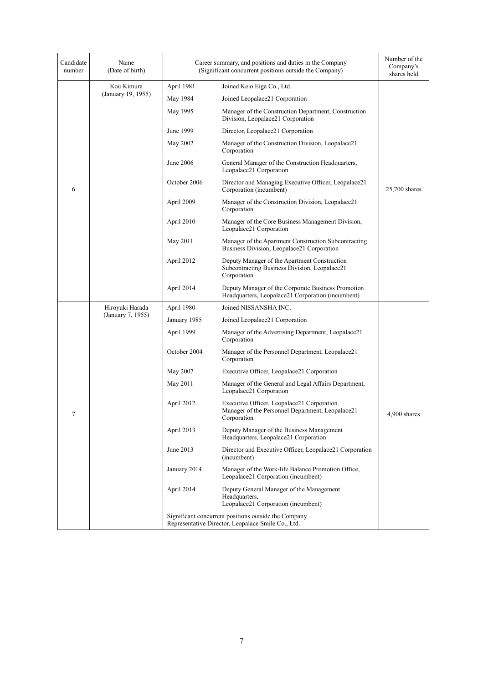| Candidate<br>number | Name<br>(Date of birth)          | Career summary, and positions and duties in the Company<br>(Significant concurrent positions outside the Company) | Number of the<br>Company's<br>shares held                                                                     |               |
|---------------------|----------------------------------|-------------------------------------------------------------------------------------------------------------------|---------------------------------------------------------------------------------------------------------------|---------------|
|                     | Kou Kimura<br>(January 19, 1955) | April 1981                                                                                                        | Joined Keio Eiga Co., Ltd.                                                                                    |               |
|                     |                                  | May 1984                                                                                                          | Joined Leopalace21 Corporation                                                                                |               |
|                     |                                  | May 1995                                                                                                          | Manager of the Construction Department, Construction<br>Division, Leopalace21 Corporation                     |               |
|                     |                                  | June 1999                                                                                                         | Director, Leopalace21 Corporation                                                                             |               |
|                     |                                  | May 2002                                                                                                          | Manager of the Construction Division, Leopalace21<br>Corporation                                              | 25,700 shares |
|                     |                                  | June 2006                                                                                                         | General Manager of the Construction Headquarters,<br>Leopalace21 Corporation                                  |               |
| 6                   |                                  | October 2006                                                                                                      | Director and Managing Executive Officer, Leopalace21<br>Corporation (incumbent)                               |               |
|                     |                                  | April 2009                                                                                                        | Manager of the Construction Division, Leopalace21<br>Corporation                                              |               |
|                     |                                  | April 2010                                                                                                        | Manager of the Core Business Management Division,<br>Leopalace21 Corporation                                  |               |
|                     |                                  | May 2011                                                                                                          | Manager of the Apartment Construction Subcontracting<br>Business Division, Leopalace21 Corporation            |               |
|                     |                                  | April 2012                                                                                                        | Deputy Manager of the Apartment Construction<br>Subcontracting Business Division, Leopalace21<br>Corporation  |               |
|                     |                                  | April 2014                                                                                                        | Deputy Manager of the Corporate Business Promotion<br>Headquarters, Leopalace21 Corporation (incumbent)       |               |
|                     | Hiroyuki Harada                  | April 1980                                                                                                        | Joined NISSANSHA INC.                                                                                         |               |
|                     | (January 7, 1955)                | January 1985                                                                                                      | Joined Leopalace21 Corporation                                                                                |               |
|                     |                                  | April 1999                                                                                                        | Manager of the Advertising Department, Leopalace21<br>Corporation                                             |               |
|                     |                                  | October 2004                                                                                                      | Manager of the Personnel Department, Leopalace21<br>Corporation                                               |               |
|                     |                                  | May 2007                                                                                                          | Executive Officer, Leopalace21 Corporation                                                                    |               |
|                     |                                  | May 2011                                                                                                          | Manager of the General and Legal Affairs Department,<br>Leopalace21 Corporation                               |               |
| 7                   |                                  | April 2012                                                                                                        | Executive Officer, Leopalace21 Corporation<br>Manager of the Personnel Department, Leopalace21<br>Corporation | 4,900 shares  |
|                     |                                  | April 2013                                                                                                        | Deputy Manager of the Business Management<br>Headquarters, Leopalace21 Corporation                            |               |
|                     |                                  | June 2013                                                                                                         | Director and Executive Officer, Leopalace21 Corporation<br>(incumbent)                                        |               |
|                     |                                  | January 2014                                                                                                      | Manager of the Work-life Balance Promotion Office,<br>Leopalace21 Corporation (incumbent)                     |               |
|                     |                                  | April 2014                                                                                                        | Deputy General Manager of the Management<br>Headquarters,<br>Leopalace21 Corporation (incumbent)              |               |
|                     |                                  | Significant concurrent positions outside the Company<br>Representative Director, Leopalace Smile Co., Ltd.        |                                                                                                               |               |